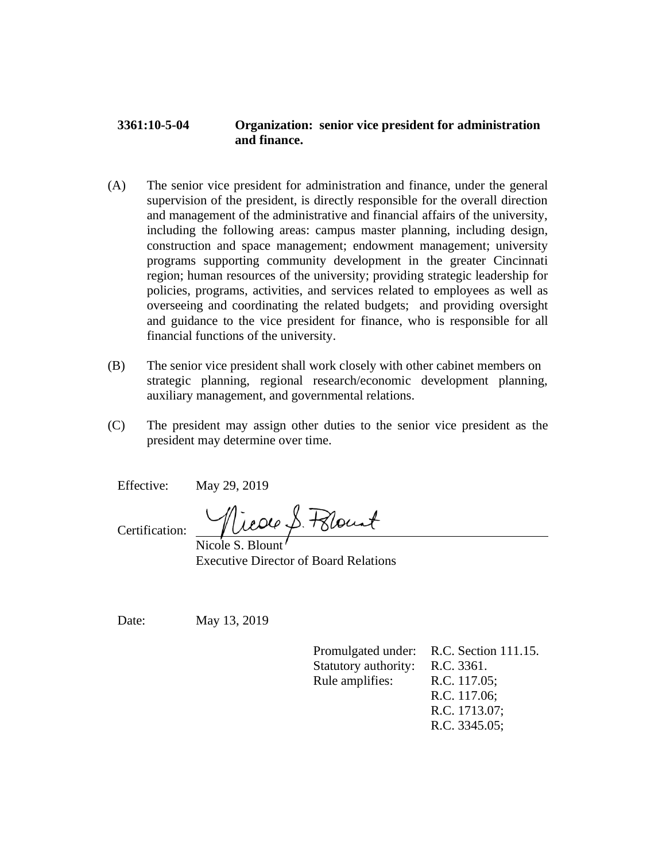## **3361:10-5-04 Organization: senior vice president for administration and finance.**

- (A) The senior vice president for administration and finance, under the general supervision of the president, is directly responsible for the overall direction and management of the administrative and financial affairs of the university, including the following areas: campus master planning, including design, construction and space management; endowment management; university programs supporting community development in the greater Cincinnati region; human resources of the university; providing strategic leadership for policies, programs, activities, and services related to employees as well as overseeing and coordinating the related budgets; and providing oversight and guidance to the vice president for finance, who is responsible for all financial functions of the university.
- (B) The senior vice president shall work closely with other cabinet members on strategic planning, regional research/economic development planning, auxiliary management, and governmental relations.
- (C) The president may assign other duties to the senior vice president as the president may determine over time.

Effective: May 29, 2019

Certification:

Nicole S. Pelount

Nicole S. Bloun Executive Director of Board Relations

Date: May 13, 2019

Promulgated under: R.C. Section 111.15. Statutory authority: R.C. 3361. Rule amplifies: R.C. 117.05; R.C. 117.06; R.C. 1713.07; R.C. 3345.05;